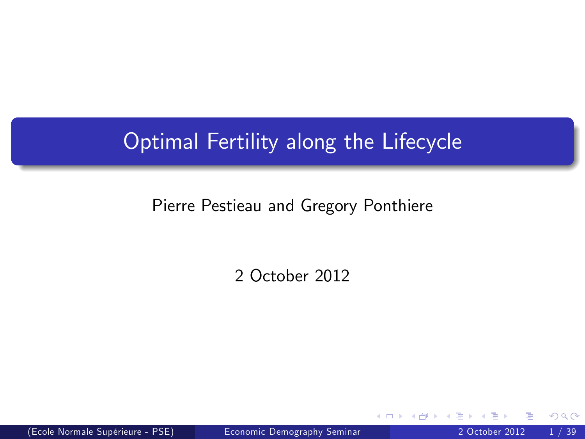## Optimal Fertility along the Lifecycle

#### Pierre Pestieau and Gregory Ponthiere

2 October 2012

(Ecole Normale SupÈrieure - PSE) [Economic Demography Seminar](#page-38-0) 2 October 2012 1 / 39

 $\leftarrow$ 

<span id="page-0-0"></span>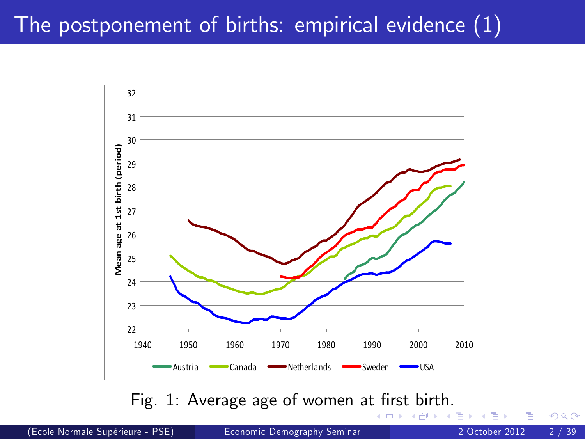## The postponement of births: empirical evidence (1)



Fig. 1: Average age of women at fi[rst](#page-2-0)[bir](#page-1-0)[t](#page-2-0)[h.](#page-0-0)

<span id="page-1-0"></span> $\blacksquare$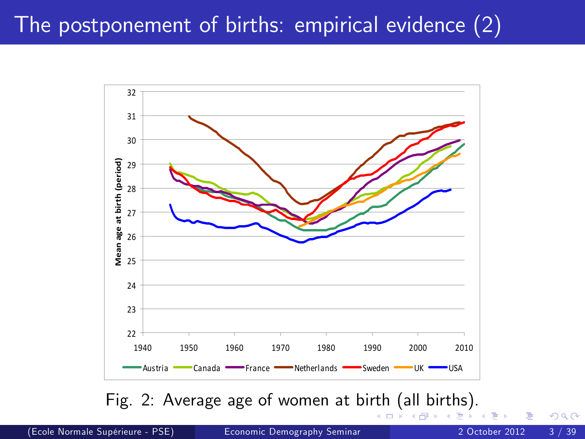## The postponement of births: empirical evidence (2)



Fig. 2: Average age of women at bi[rth](#page-1-0) [\(](#page-3-0)[al](#page-1-0)[l b](#page-2-0)[i](#page-3-0)[rth](#page-0-0)[s\).](#page-38-0)

<span id="page-2-0"></span>⊆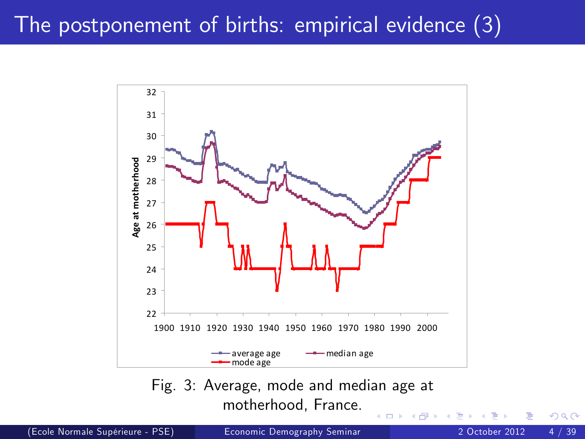## The postponement of births: empirical evidence (3)



motherhood, France.

 $\leftarrow$ 

(Ecole Normale SupÈrieure - PSE) [Economic Demography Seminar](#page-0-0) 2 October 2012 4 / 39

<span id="page-3-0"></span>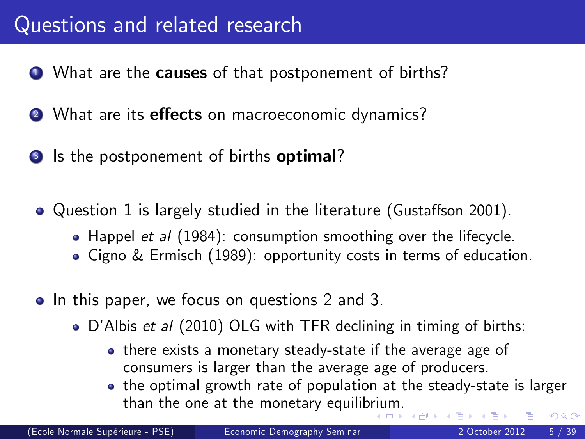### Questions and related research

- **1** What are the **causes** of that postponement of births?
- 2 What are its effects on macroeconomic dynamics?
- <span id="page-4-0"></span>**3** Is the postponement of births **optimal**?
	- Question 1 is largely studied in the literature (Gustaffson 2001).
		- Happel et al (1984): consumption smoothing over the lifecycle.
		- Cigno & Ermisch (1989): opportunity costs in terms of education.
	- In this paper, we focus on questions 2 and 3.
		- D'Albis et al (2010) OLG with TFR declining in timing of births:
			- there exists a monetary steady-state if the average age of consumers is larger than the average age of producers.
			- the optimal growth rate of population at the steady-state is larger than the one at the monetary equilib[riu](#page-3-0)[m.](#page-5-0)  $\Omega$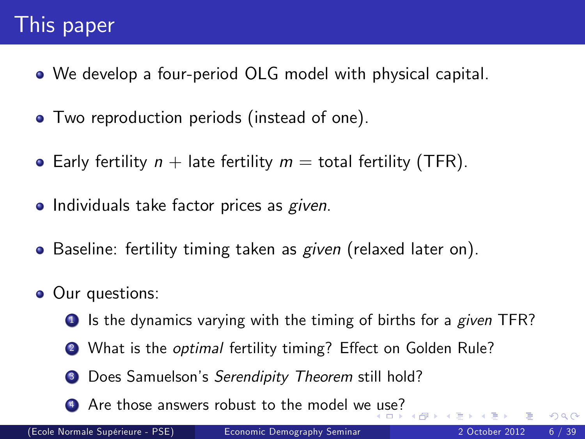## This paper

- We develop a four-period OLG model with physical capital.
- **•** Two reproduction periods (instead of one).
- Early fertility  $n +$  late fertility  $m =$  total fertility (TFR).
- **Individuals take factor prices as given.**
- Baseline: fertility timing taken as *given* (relaxed later on).
- <span id="page-5-0"></span>• Our questions:
	- $\bullet$  Is the dynamics varying with the timing of births for a given TFR?
	- 2 What is the *optimal* fertility timing? Effect on Golden Rule?
	- <sup>3</sup> Does Samuelson's Serendipity Theorem still hold?
	- 4 Are those answers robust to the model we [us](#page-4-0)[e?](#page-6-0)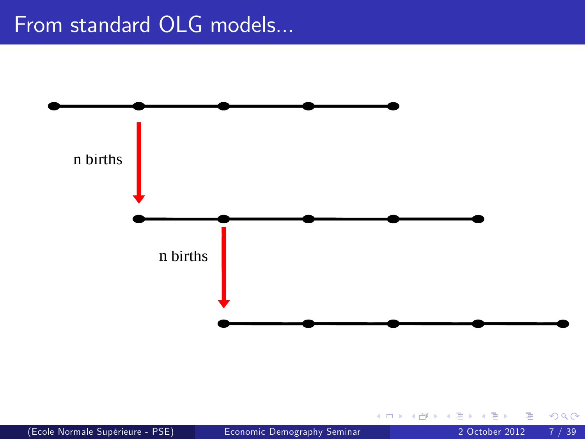## From standard OLG models...



<span id="page-6-0"></span>4 0 8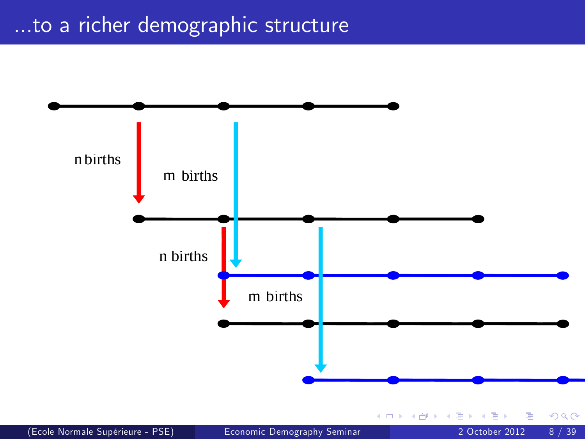### ...to a richer demographic structure

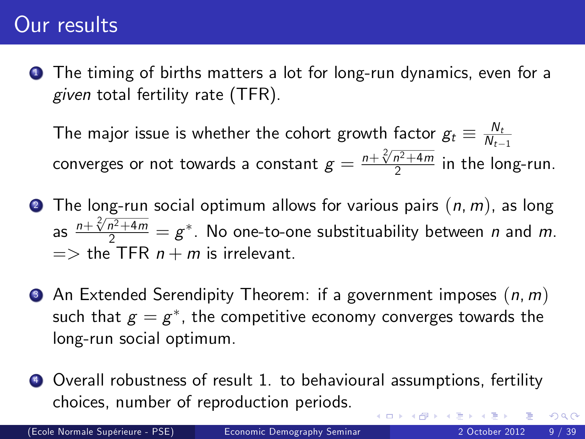#### Our results

**1** The timing of births matters a lot for long-run dynamics, even for a given total fertility rate (TFR).

The major issue is whether the cohort growth factor  $g_t \equiv \frac{N_t}{N_t}$  $N_{t-1}$ converges or not towards a constant  $g=\frac{n+\sqrt[2]{n^2+4m}}{2}$  $\frac{n^2+4m}{2}$  in the long-run.

- **2** The long-run social optimum allows for various pairs  $(n, m)$ , as long as  $\frac{n+\sqrt[2]{n^2+4m}}{2}=g^*$ . No one-to-one substituability between n and m.  $\Rightarrow$  the TFR  $n + m$  is irrelevant.
- $\bullet$  An Extended Serendipity Theorem: if a government imposes  $(n, m)$ such that  $\emph{g}=\emph{g}^*$ , the competitive economy converges towards the long-run social optimum.
- <sup>4</sup> Overall robustness of result 1. to behavioural assumptions, fertility choices, number of reproduction periods.  $200$

(Ecole Normale SupÈrieure - PSE) [Economic Demography Seminar](#page-0-0) 2 October 2012 9 / 39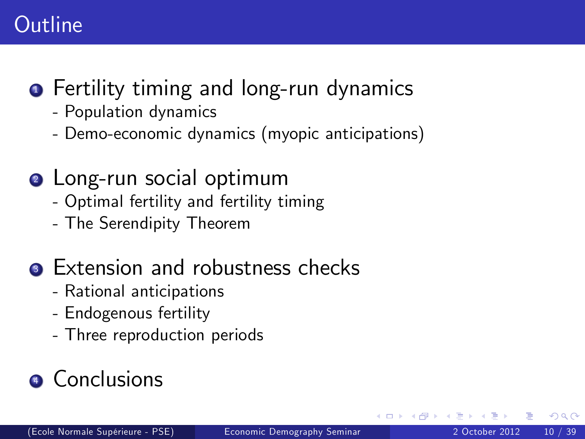## **Outline**

## **•** Fertility timing and long-run dynamics

- Population dynamics
- Demo-economic dynamics (myopic anticipations)

## **2** Long-run social optimum

- Optimal fertility and fertility timing
- The Serendipity Theorem

## **3** Extension and robustness checks

- Rational anticipations
- Endogenous fertility
- <span id="page-9-0"></span>- Three reproduction periods

# **4** Conclusions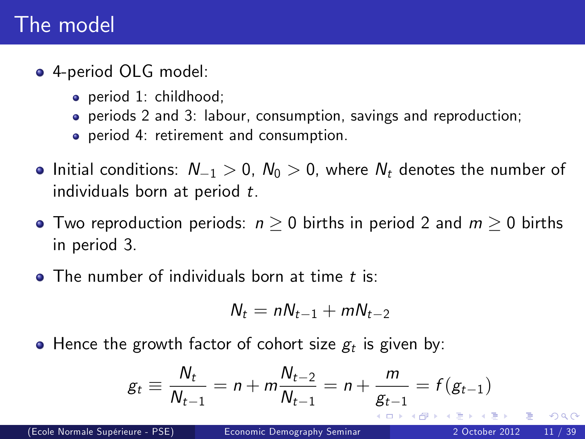### The model

- 4-period OLG model:
	- period 1: childhood;
	- periods 2 and 3: labour, consumption, savings and reproduction;
	- period 4: retirement and consumption.
- Initial conditions:  $N_{-1} > 0$ ,  $N_0 > 0$ , where  $N_t$  denotes the number of individuals born at period t.
- Two reproduction periods:  $n \geq 0$  births in period 2 and  $m \geq 0$  births in period 3.
- $\bullet$  The number of individuals born at time t is:

$$
N_t = nN_{t-1} + mN_{t-2}
$$

Hence the growth factor of cohort size  $\boldsymbol{g}_t$  is given by:

$$
g_t \equiv \frac{N_t}{N_{t-1}} = n + m \frac{N_{t-2}}{N_{t-1}} = n + \frac{m}{g_{t-1}} = f(g_{t-1})
$$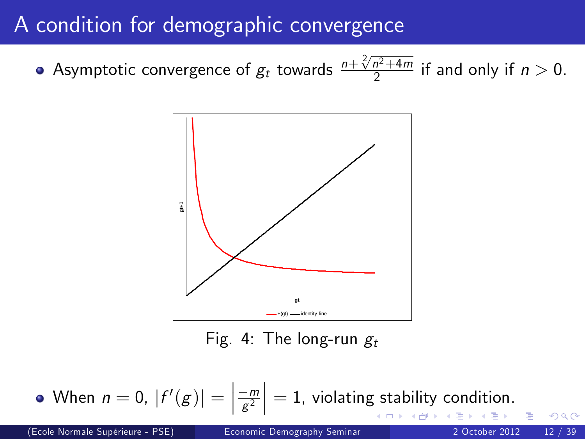## A condition for demographic convergence

Asymptotic convergence of  $g_t$  towards  $\frac{n+\sqrt[2]{n^2+4m}}{2}$  $\frac{n^2+4m}{2}$  if and only if  $n > 0$ .



<span id="page-11-0"></span>Fig. 4: The long-run  $g_t$ 

When  $n=0, |f'(g)| = |$  $\left\lceil \frac{-m}{g^2} \right\rceil = 1$ , violating stability condition.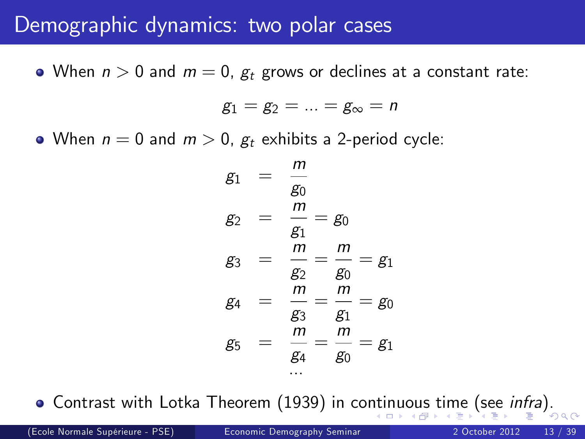#### Demographic dynamics: two polar cases

• When  $n > 0$  and  $m = 0$ ,  $g_t$  grows or declines at a constant rate:

 $g_1 = g_2 = ... = g_{\infty} = n$ 

• When  $n = 0$  and  $m > 0$ ,  $g_t$  exhibits a 2-period cycle:

<span id="page-12-0"></span>
$$
g_1 = \frac{m}{g_0}
$$
  
\n
$$
g_2 = \frac{m}{g_1} = g_0
$$
  
\n
$$
g_3 = \frac{m}{g_2} = \frac{m}{g_0} = g_1
$$
  
\n
$$
g_4 = \frac{m}{g_3} = \frac{m}{g_1} = g_0
$$
  
\n
$$
g_5 = \frac{m}{g_4} = \frac{m}{g_0} = g_1
$$

• Contrast with Lotka Theorem (1939) in co[nti](#page-11-0)[nu](#page-13-0)[o](#page-11-0)[us](#page-12-0) [t](#page-13-0)[im](#page-0-0)[e](#page-38-0) [\(se](#page-0-0)[e](#page-38-0) *[i](#page-38-0)[nf](#page-0-0)[ra](#page-38-0)*).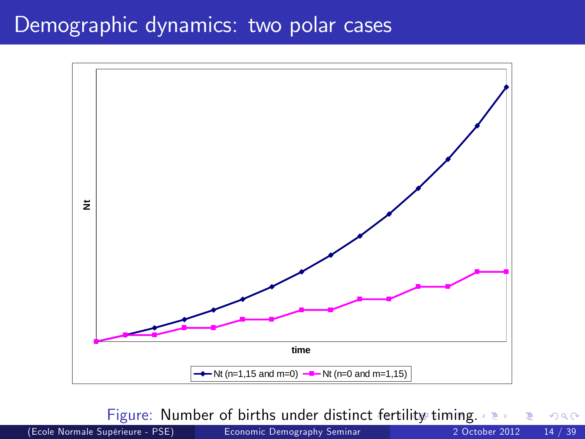#### Demographic dynamics: two polar cases



<span id="page-13-0"></span>Figure: Number of births under distinc[t fe](#page-12-0)[rti](#page-14-0)[li](#page-12-0)[ty](#page-13-0) [ti](#page-14-0)[mi](#page-0-0)[ng.](#page-38-0)  $QQ$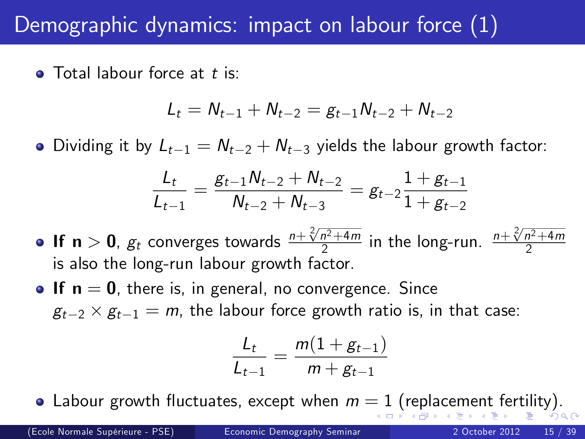### Demographic dynamics: impact on labour force (1)

 $\bullet$  Total labour force at t is:

$$
L_t = N_{t-1} + N_{t-2} = g_{t-1}N_{t-2} + N_{t-2}
$$

• Dividing it by  $L_{t-1} = N_{t-2} + N_{t-3}$  yields the labour growth factor:

$$
\frac{L_t}{L_{t-1}} = \frac{g_{t-1}N_{t-2}+N_{t-2}}{N_{t-2}+N_{t-3}} = g_{t-2}\frac{1+g_{t-1}}{1+g_{t-2}}
$$

- **If n**  $>$  **0**,  $g_t$  converges towards  $\frac{n+\sqrt[2]{n^2+4m}}{2}$  $\frac{n^2+4m}{2}$  in the long-run.  $\frac{n+\sqrt[2]{n^2+4m}}{2}$ 2 is also the long-run labour growth factor.
- **If**  $n = 0$ , there is, in general, no convergence. Since  $g_{t-2} \times g_{t-1} = m$ , the labour force growth ratio is, in that case:

<span id="page-14-0"></span>
$$
\frac{L_t}{L_{t-1}} = \frac{m(1+g_{t-1})}{m+g_{t-1}}
$$

• L[a](#page-15-0)bour growth fluctuates, ex[ce](#page-0-0)pt when  $m = 1$  $m = 1$  $m = 1$  [\(](#page-15-0)[re](#page-13-0)[pl](#page-14-0)ace[me](#page-38-0)[nt](#page-0-0) [fe](#page-38-0)[rti](#page-0-0)[lity](#page-38-0)).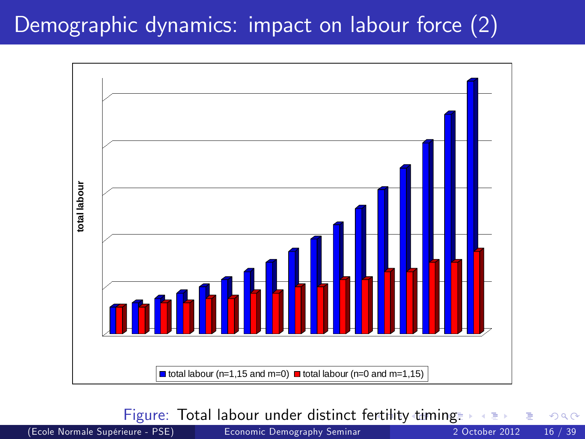### Demographic dynamics: impact on labour force (2)



Figure: Total labour under distinct f[erti](#page-14-0)l[ity](#page-16-0)[tim](#page-15-0)[i](#page-16-0)[ng](#page-0-0)[.](#page-38-0)

(Ecole Normale SupÈrieure - PSE) [Economic Demography Seminar](#page-0-0) 2 October 2012 16 / 39

<span id="page-15-0"></span>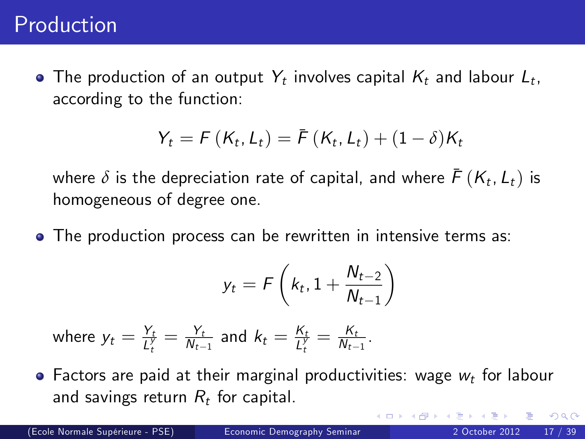#### Production

The production of an output  $Y_t$  involves capital  $K_t$  and labour  $L_t$ , according to the function:

$$
Y_t = F(K_t, L_t) = \bar{F}(K_t, L_t) + (1 - \delta)K_t
$$

where  $\delta$  is the depreciation rate of capital, and where  $\bar{\digamma}\left(\mathsf{K}_{t},\mathsf{L}_{t}\right)$  is homogeneous of degree one.

The production process can be rewritten in intensive terms as:

$$
y_t = F\left(k_t, 1 + \frac{N_{t-2}}{N_{t-1}}\right)
$$

where  $y_t = \frac{Y_t}{l^y}$  $\frac{Y_t}{L_t^y} = \frac{Y_t}{N_{t-1}}$  $\frac{Y_t}{N_{t-1}}$  and  $k_t = \frac{K_t}{L_t^y}$  $\frac{K_t}{L_t^y} = \frac{K_t}{N_{t-1}}$  $\frac{R_t}{N_{t-1}}$ .

 $\bullet$  Factors are paid at their marginal productivities: wage  $w_t$  for labour and savings return  $R_t$  for capital.

<span id="page-16-0"></span>つひひ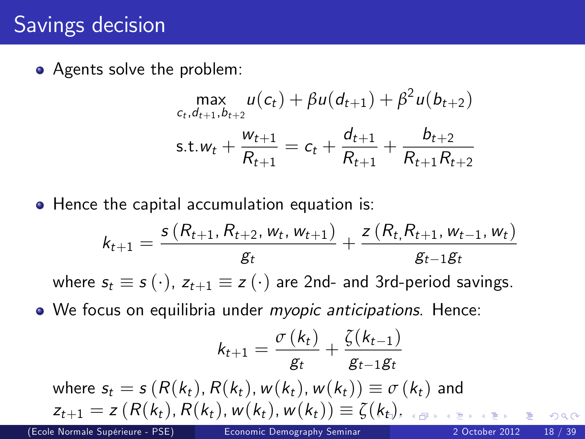## Savings decision

• Agents solve the problem:

$$
\max_{c_t, d_{t+1}, b_{t+2}} u(c_t) + \beta u(d_{t+1}) + \beta^2 u(b_{t+2})
$$
  
s.t.  $w_t + \frac{w_{t+1}}{R_{t+1}} = c_t + \frac{d_{t+1}}{R_{t+1}} + \frac{b_{t+2}}{R_{t+1}R_{t+2}}$ 

• Hence the capital accumulation equation is:

$$
k_{t+1} = \frac{s(R_{t+1}, R_{t+2}, w_t, w_{t+1})}{g_t} + \frac{z(R_t, R_{t+1}, w_{t-1}, w_t)}{g_{t-1}g_t}
$$

where  $s_t \equiv s(\cdot)$ ,  $z_{t+1} \equiv z(\cdot)$  are 2nd- and 3rd-period savings.

. We focus on equilibria under myopic anticipations. Hence:

$$
k_{t+1} = \frac{\sigma(k_t)}{g_t} + \frac{\zeta(k_{t-1})}{g_{t-1}g_t}
$$
  
where  $s_t = s(R(k_t), R(k_t), w(k_t), w(k_t)) \equiv \sigma(k_t)$  and  
 $z_{t+1} = z(R(k_t), R(k_t), w(k_t), w(k_t)) \equiv \zeta(k_t),$ 

(Ecole Normale Supérieure - PSE) [Economic Demography Seminar](#page-0-0) 20012 2 October 2012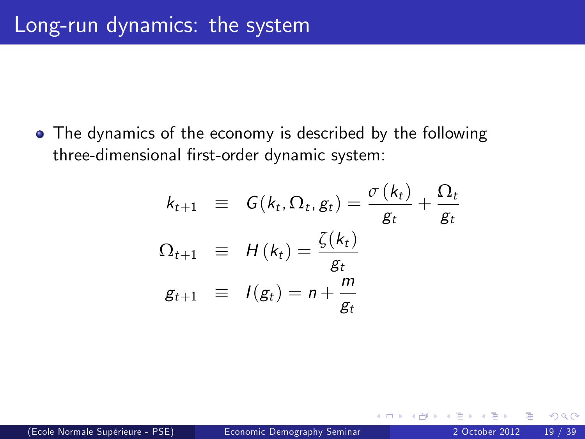The dynamics of the economy is described by the following three-dimensional first-order dynamic system:

$$
k_{t+1} \equiv G(k_t, \Omega_t, g_t) = \frac{\sigma(k_t)}{g_t} + \frac{\Omega_t}{g_t}
$$
  

$$
\Omega_{t+1} \equiv H(k_t) = \frac{\zeta(k_t)}{g_t}
$$
  

$$
g_{t+1} \equiv I(g_t) = n + \frac{m}{g_t}
$$

<span id="page-18-0"></span> $\leftarrow$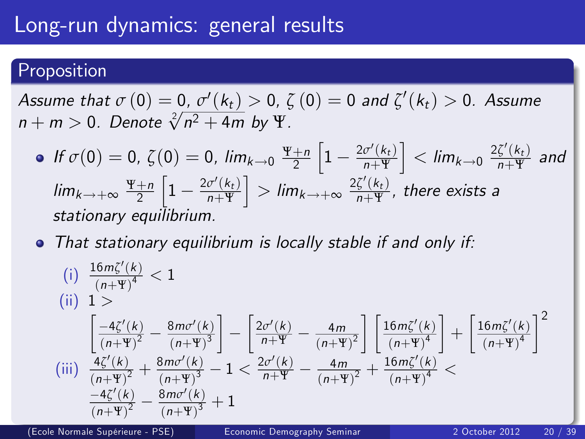### Long-run dynamics: general results

#### Proposition

Assume that  $\sigma\left(0\right)=\underline{0},\,\sigma'\!\left(k_{t}\right)>0,\,\zeta\left(0\right)=0$  and  $\zeta'\!\left(k_{t}\right)>0.$  Assume  $n + m > 0$ . Denote  $\sqrt[2]{n^2 + 4m}$  by  $\Psi$ .

• If 
$$
\sigma(0) = 0
$$
,  $\zeta(0) = 0$ ,  $\lim_{k \to 0} \frac{\Psi + n}{2} \left[ 1 - \frac{2\sigma'(k_t)}{n + \Psi} \right] < \lim_{k \to 0} \frac{2\zeta'(k_t)}{n + \Psi}$  and  $\lim_{k \to +\infty} \frac{\Psi + n}{2} \left[ 1 - \frac{2\sigma'(k_t)}{n + \Psi} \right] > \lim_{k \to +\infty} \frac{2\zeta'(k_t)}{n + \Psi}$ , there exists a stationary equilibrium.

• That stationary equilibrium is locally stable if and only if:

$$
\begin{array}{ll} \text{(i)} & \frac{16m\zeta'(k)}{\left(n+\Psi\right)^4} < 1\\ \text{(ii)} & 1 > \\ & \left[\frac{-4\zeta'(k)}{\left(n+\Psi\right)^2} - \frac{8m\sigma'(k)}{\left(n+\Psi\right)^3}\right] - \left[\frac{2\sigma'(k)}{n+\Psi} - \frac{4m}{\left(n+\Psi\right)^2}\right] \left[\frac{16m\zeta'(k)}{\left(n+\Psi\right)^4}\right] + \left[\frac{16m\zeta'(k)}{\left(n+\Psi\right)^4}\right]^2\\ \text{(iii)} & \frac{4\zeta'(k)}{\left(n+\Psi\right)^2} + \frac{8m\sigma'(k)}{\left(n+\Psi\right)^3} - 1 < \frac{2\sigma'(k)}{n+\Psi} - \frac{4m}{\left(n+\Psi\right)^2} + \frac{16m\zeta'(k)}{\left(n+\Psi\right)^4} < \\ & \frac{-4\zeta'(k)}{\left(n+\Psi\right)^2} - \frac{8m\sigma'(k)}{\left(n+\Psi\right)^3} + 1 \end{array}
$$

(Ecole Normale SupÈrieure - PSE) [Economic Demography Seminar](#page-0-0) 2 October 2012 20 / 39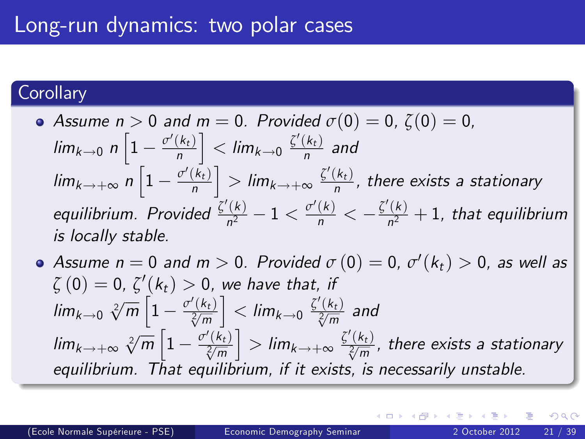#### **Corollary**

• Assume 
$$
n > 0
$$
 and  $m = 0$ . Provided  $\sigma(0) = 0$ ,  $\zeta(0) = 0$ ,  $\lim_{k \to 0} n \left[ 1 - \frac{\sigma'(k_t)}{n} \right] < \lim_{k \to 0} \frac{\zeta'(k_t)}{n}$  and  $\lim_{k \to +\infty} n \left[ 1 - \frac{\sigma'(k_t)}{n} \right] > \lim_{k \to +\infty} \frac{\zeta'(k_t)}{n}$ , there exists a stationary equilibrium. Provided  $\frac{\zeta'(k)}{n^2} - 1 < \frac{\sigma'(k)}{n} < -\frac{\zeta'(k)}{n^2} + 1$ , that equilibrium is locally stable.

<span id="page-20-0"></span>Assume  $n=0$  and  $m>0$ . Provided  $\sigma\left(0\right)=0$ ,  $\sigma'\!\left(k_t\right)>0$ , as well as  $\zeta\left(0\right)=0$ ,  $\zeta^{\prime}\left(k_{t}\right)>0$ , we have that, if  $\lim_{k\to 0} \sqrt[2]{m}\left[1-\frac{\sigma'(k_t)}{\sqrt[2]{m}}\right]$  $\Big] < \lim_{k \rightarrow 0} \frac{\zeta'(k_t)}{\sqrt[2]{m}}$  and  $\lim_{k \to +\infty} \sqrt[2]{m} \left[1 - \frac{\sigma'(\vec{k}_t)}{\sqrt[2]{m}} \right]$  $\Big] > \lim_{k \to +\infty} \frac{\zeta'(k_t)}{\sqrt[2]{m}}$ , there exists a stationary equilibrium. That equilibrium, if it exists, is necessarily unstable.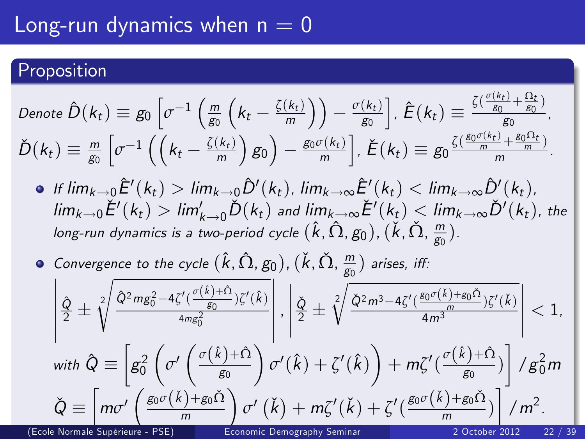#### Long-run dynamics when  $n = 0$

#### Proposition

Denote 
$$
\hat{D}(k_t) \equiv g_0 \left[ \sigma^{-1} \left( \frac{m}{g_0} \left( k_t - \frac{\zeta(k_t)}{m} \right) \right) - \frac{\sigma(k_t)}{g_0} \right], \hat{E}(k_t) \equiv \frac{\zeta(\frac{\sigma(k_t)}{g_0} + \frac{\Omega_t}{g_0})}{g_0},
$$
  
\n $\check{D}(k_t) \equiv \frac{m}{g_0} \left[ \sigma^{-1} \left( \left( k_t - \frac{\zeta(k_t)}{m} \right) g_0 \right) - \frac{g_0 \sigma(k_t)}{m} \right], \check{E}(k_t) \equiv g_0 \frac{\zeta(\frac{g_0 \sigma(k_t)}{m} + \frac{g_0 \Omega_t}{m})}{m}.$ 

- If  $\lim_{k\to 0} \hat{E}'(k_t) > \lim_{k\to 0} \hat{D}'(k_t)$ ,  $\lim_{k\to \infty} \hat{E}'(k_t) < \lim_{k\to \infty} \hat{D}'(k_t)$ ,  $\lim_{k\to 0} E'(k_t) > \lim_{k\to 0} D(k_t)$  and  $\lim_{k\to \infty} E'(k_t) < \lim_{k\to \infty} D'(k_t)$ , the long-run dynamics is a two-period cycle  $(\hat k,\hat\Omega, g_0)$ ,  $(\check k,\check\Omega, \frac{m}{g_0})$  $\frac{m}{g_0}$ ).
- Convergence to the cycle  $(\hat k, \hat \Omega, g_0)$ ,  $(\check k, \check \Omega, \frac{m}{g_0})$  $\frac{m}{g_0}$ ) arises, iff:

$$
\left|\frac{\hat{Q}}{2}\pm\sqrt[2]{\frac{\hat{Q}^2mg_0^2-4\zeta'(\frac{\sigma(\hat{k})+\hat{\Omega}}{g_0})\zeta'(\hat{k})}{4mg_0^2}}\right|,\left|\frac{\check{Q}}{2}\pm\sqrt[2]{\frac{\check{Q}^2m^3-4\zeta'(\frac{g_0\sigma(\hat{k})+g_0\check{\Omega}}{m})\zeta'(\check{k})}{4m^3}}\right|<1,
$$
\nwith  $\hat{Q}\equiv\left[g_0^2\left(\sigma'\left(\frac{\sigma(\hat{k})+\hat{\Omega}}{g_0}\right)\sigma'(\hat{k})+\zeta'(\hat{k})\right)+m\zeta'(\frac{\sigma(\hat{k})+\hat{\Omega}}{g_0})\right]/g_0^2m$ \n
$$
\check{Q}\equiv\left[m\sigma'\left(\frac{g_0\sigma(\check{k})+g_0\check{\Omega}}{m}\right)\sigma'(\check{k})+m\zeta'(\check{k})+\zeta'(\frac{g_0\sigma(\check{k})+g_0\check{\Omega}}{m})\right]/m^2.
$$
\n(Eole Normals  
\nLapfeireur - PSE  
\nEconomic Demography Seminar  
\n2 October 2012 22/39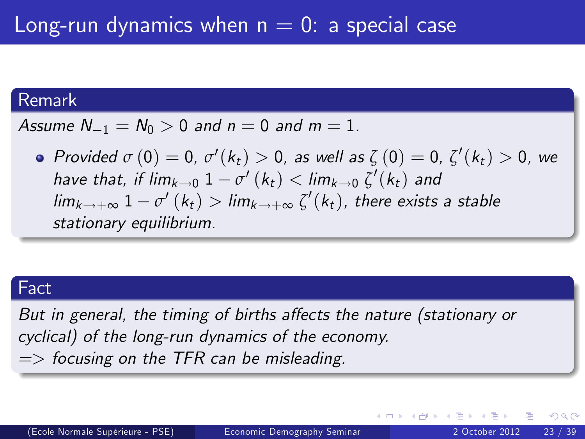#### Remark

Assume  $N_{-1} = N_0 > 0$  and  $n = 0$  and  $m = 1$ .

Provided  $\sigma(0) = 0$ ,  $\sigma'(k_t) > 0$ , as well as  $\zeta(0) = 0$ ,  $\zeta'(k_t) > 0$ , we have that, if  $\lim_{k\to 0} 1-\sigma'(k_t) < \lim_{k\to 0} \zeta'(k_t)$  and  $\lim_{k\rightarrow +\infty} 1-\sigma'\left(k_{t}\right)>\lim_{k\rightarrow +\infty} \zeta' (k_{t}),$  there exists a stable stationary equilibrium.

#### Fact

But in general, the timing of births affects the nature (stationary or cyclical) of the long-run dynamics of the economy.  $\Rightarrow$  focusing on the TFR can be misleading.

4 D F

<span id="page-22-0"></span>Gradual Gradua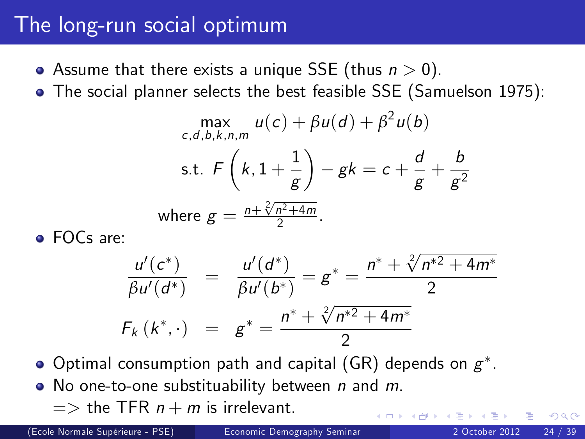#### The long-run social optimum

- Assume that there exists a unique SSE (thus  $n > 0$ ).
- The social planner selects the best feasible SSE (Samuelson 1975):

$$
\max_{c,d,b,k,n,m} u(c) + \beta u(d) + \beta^2 u(b)
$$
  
s.t.  $F\left(k, 1 + \frac{1}{g}\right) - gk = c + \frac{d}{g} + \frac{b}{g^2}$   
where  $g = \frac{n + \sqrt[2]{n^2 + 4m}}{2}$ .

**•** FOCs are:

$$
\frac{u'(c^*)}{\beta u'(d^*)} = \frac{u'(d^*)}{\beta u'(b^*)} = g^* = \frac{n^* + \sqrt[2]{n^{*2} + 4m^*}}{2}
$$
  

$$
F_k(k^*, \cdot) = g^* = \frac{n^* + \sqrt[2]{n^{*2} + 4m^*}}{2}
$$

- Optimal consumption path and capital (GR) depends on  $g^\ast$ .
- $\bullet$  No one-to-one substituability between n and m.  $\Rightarrow$  the TFR  $n + m$  is irrelevant.

(Ecole Normale SupÈrieure - PSE) [Economic Demography Seminar](#page-0-0) 2 October 2012 24 / 39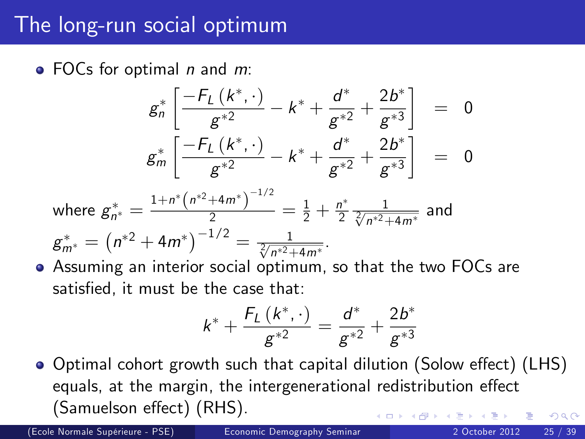#### The long-run social optimum

 $\bullet$  FOCs for optimal *n* and *m*:

$$
g_n^* \left[ \frac{-F_L(k^*,\cdot)}{g^{*2}} - k^* + \frac{d^*}{g^{*2}} + \frac{2b^*}{g^{*3}} \right] = 0
$$
  

$$
g_m^* \left[ \frac{-F_L(k^*,\cdot)}{g^{*2}} - k^* + \frac{d^*}{g^{*2}} + \frac{2b^*}{g^{*3}} \right] = 0
$$

where 
$$
g_{n^*}^* = \frac{1 + n^* (n^{*2} + 4m^*)^{-1/2}}{2} = \frac{1}{2} + \frac{n^*}{2} \frac{1}{\sqrt[2]{n^{*2} + 4m^*}}
$$
 and  
\n $g_{m^*}^* = (n^{*2} + 4m^*)^{-1/2} = \frac{1}{\sqrt[2]{n^{*2} + 4m^*}}$ .

Assuming an interior social optimum, so that the two FOCs are satisfied, it must be the case that:

<span id="page-24-0"></span>
$$
k^* + \frac{F_L(k^*,\cdot)}{g^{*2}} = \frac{d^*}{g^{*2}} + \frac{2b^*}{g^{*3}}
$$

● Optimal cohort growth such that capital dilution (Solow effect) (LHS) equals, at the margin, the intergenerational redistribution effect (Samuelson effect) (RHS).  $200$ 

(Ecole Normale SupÈrieure - PSE) [Economic Demography Seminar](#page-0-0) 2 October 2012 25 / 39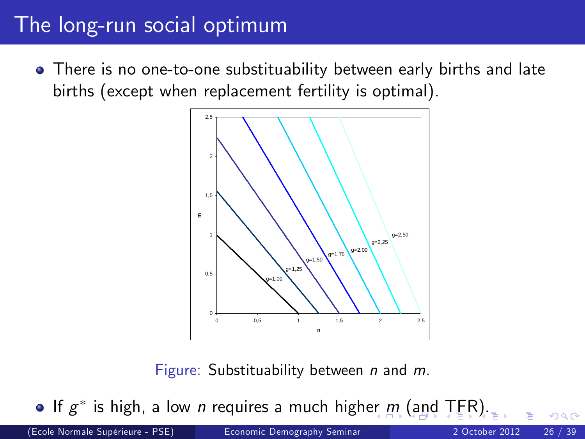### The long-run social optimum

There is no one-to-one substituability between early births and late births (except when replacement fertility is optimal).



Figure: Substituability between  $n$  and  $m$ .

If  $g^*$  is high, a low n requires a much high[er](#page-24-0)  $m$  [\(](#page-24-0)[an](#page-25-0)[d](#page-26-0) [T](#page-0-0)[FR](#page-38-0)[\).](#page-0-0)

(Ecole Normale SupÈrieure - PSE) [Economic Demography Seminar](#page-0-0) 2 October 2012 26 / 39

<span id="page-25-0"></span>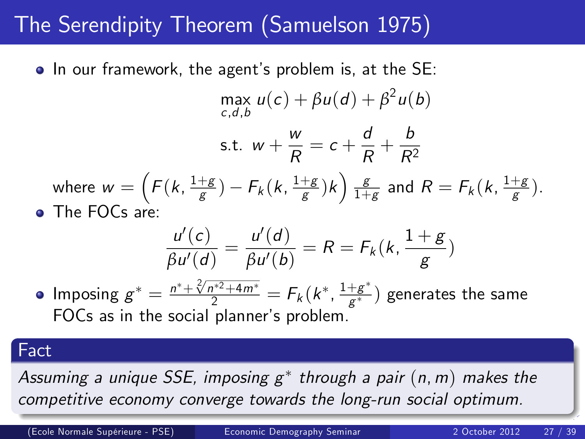## The Serendipity Theorem (Samuelson 1975)

• In our framework, the agent's problem is, at the SE:

$$
\max_{c,d,b} u(c) + \beta u(d) + \beta^2 u(b)
$$
  
s.t.  $w + \frac{w}{R} = c + \frac{d}{R} + \frac{b}{R^2}$   
where  $w = \left( F(k, \frac{1+g}{g}) - F_k(k, \frac{1+g}{g})k \right) \frac{g}{1+g}$  and  $R = F_k(k, \frac{1+g}{g})$ .  
• The FOCs are:

<span id="page-26-0"></span>
$$
\frac{u'(c)}{\beta u'(d)} = \frac{u'(d)}{\beta u'(b)} = R = F_k(k, \frac{1+g}{g})
$$

Imposing  $g^* = \frac{n^* + \sqrt[2]{n^{*2} + 4m^*}}{2} = F_k(k^*, \frac{1+g^*}{g^*})$  $\frac{+g^{-}}{g^{*}})$  generates the same FOCs as in the social planner's problem.

#### Fact

I

Assuming a unique SSE, imposing  $\mathsf{g}^*$  through a pair  $(\mathsf{n}, \mathsf{m})$  makes the competitive economy converge towards the long[-ru](#page-25-0)[n](#page-27-0) [s](#page-25-0)[oc](#page-26-0)[ia](#page-27-0)[l o](#page-0-0)[pt](#page-38-0)[im](#page-0-0)[um](#page-38-0)[.](#page-0-0)

(Ecole Normale SupÈrieure - PSE) [Economic Demography Seminar](#page-0-0) 2 October 2012 27 / 39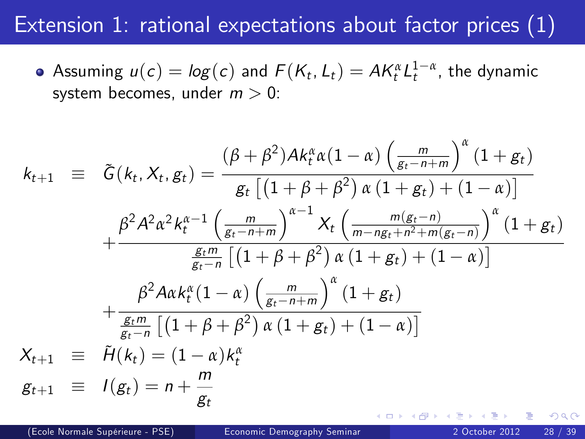### Extension 1: rational expectations about factor prices (1)

Assuming  $u(c) = log(c)$  and  $F(K_t, L_t) = AK_t^{\alpha}L_t^{1-\alpha}$ , the dynamic system becomes, under  $m > 0$ :

<span id="page-27-0"></span>
$$
k_{t+1} = \tilde{G}(k_{t}, X_{t}, g_{t}) = \frac{(\beta + \beta^{2})Ak_{t}^{\alpha} \alpha (1 - \alpha) \left(\frac{m}{g_{t} - n + m}\right)^{\alpha} (1 + g_{t})}{g_{t} \left[(1 + \beta + \beta^{2}) \alpha (1 + g_{t}) + (1 - \alpha)\right]}
$$

$$
+ \frac{\beta^{2} A^{2} \alpha^{2} k_{t}^{\alpha - 1} \left(\frac{m}{g_{t} - n + m}\right)^{\alpha - 1} X_{t} \left(\frac{m(g_{t} - n)}{m - ng_{t} + n^{2} + m(g_{t} - n)}\right)^{\alpha} (1 + g_{t})}{\frac{g_{t}m}{g_{t} - n} \left[(1 + \beta + \beta^{2}) \alpha (1 + g_{t}) + (1 - \alpha)\right]}
$$

$$
+ \frac{\beta^{2} A \alpha k_{t}^{\alpha} (1 - \alpha) \left(\frac{m}{g_{t} - n + m}\right)^{\alpha} (1 + g_{t})}{\frac{g_{t}m}{g_{t} - n} \left[(1 + \beta + \beta^{2}) \alpha (1 + g_{t}) + (1 - \alpha)\right]}
$$

$$
X_{t+1} \equiv \tilde{H}(k_{t}) = (1 - \alpha)k_{t}^{\alpha}
$$

$$
g_{t+1} \equiv I(g_{t}) = n + \frac{m}{g_{t}}
$$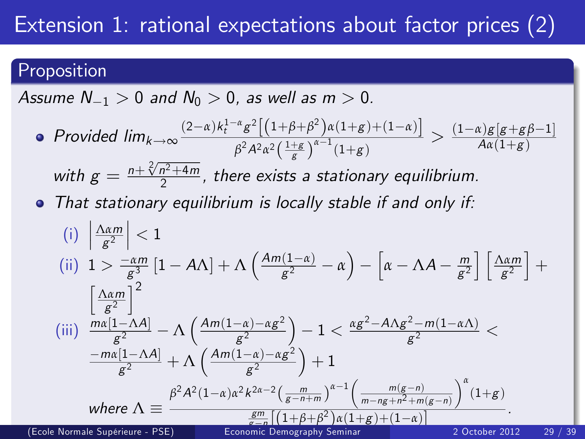## Extension 1: rational expectations about factor prices (2)

#### Proposition

Assume  $N_{-1} > 0$  and  $N_0 > 0$ , as well as  $m > 0$ .

Provided  $\lim_{k \to \infty} \frac{(2-\alpha)k_t^{1-\alpha}g^2[(1+\beta+\beta^2)\alpha(1+g)+(1-\alpha)]}{\beta^2A^2\alpha^2(\frac{1+g}{\beta})^{\alpha-1}(1+g)}$  $\frac{d^{\alpha}g^{\alpha}[(1+\beta+\beta^{\alpha})\alpha(1+g)+(1-\alpha)]}{\beta^2A^2\alpha^2\left(\frac{1+g}{g}\right)^{\alpha-1}(1+g)} > \frac{(1-\alpha)g[g+g\beta-1]}{A\alpha(1+g)}$ 

with  $g = \frac{n + \sqrt[2]{n^2 + 4m}}{2}$  $\frac{n^2+4m}{2}$ , there exists a stationary equilibrium.

• That stationary equilibrium is locally stable if and only if:

<span id="page-28-0"></span>(i) 
$$
\left| \frac{\Delta \alpha m}{g^2} \right| < 1
$$
  
\n(ii)  $1 > \frac{-\alpha m}{g^3} \left[ 1 - A\Lambda \right] + \Lambda \left( \frac{A m (1 - \alpha)}{g^2} - \alpha \right) - \left[ \alpha - \Lambda A - \frac{m}{g^2} \right] \left[ \frac{\Delta \alpha m}{g^2} \right] +$   
\n $\left[ \frac{\Delta \alpha m}{g^2} \right]^2$   
\n(iii)  $\frac{m\alpha [1 - \Lambda A]}{g^2} - \Lambda \left( \frac{A m (1 - \alpha) - \alpha g^2}{g^2} \right) - 1 < \frac{\alpha g^2 - A\Lambda g^2 - m (1 - \alpha \Lambda)}{g^2} <$   
\n $\frac{-m\alpha [1 - \Lambda A]}{g^2} + \Lambda \left( \frac{A m (1 - \alpha) - \alpha g^2}{g^2} \right) + 1$   
\nwhere  $\Lambda \equiv \frac{\beta^2 A^2 (1 - \alpha) \alpha^2 k^{2\alpha - 2} \left( \frac{m}{g - n + m} \right)^{\alpha - 1} \left( \frac{m(g - n)}{m - ng + n^2 + m(g - n)} \right)^{\alpha} (1 + g)}{\frac{gm}{g^2} \left[ (1 + \beta + \beta^2) \alpha (1 + g) + (1 - \alpha) \right]}$   
\n(Ecole Normals Spéricure - PSE)  
\nEconémic Demography Seminar 2 October 2012 29 / 39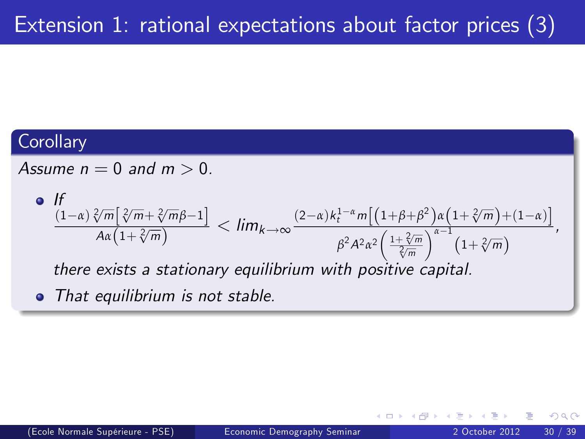#### **Corollary**

Assume  $n = 0$  and  $m > 0$ .

• If  
\n
$$
\frac{(1-\alpha)\sqrt[2]{m}[\sqrt[2]{m}+\sqrt[2]{m}\beta-1]}{A\alpha(1+\sqrt[2]{m})} < lim_{k\to\infty} \frac{(2-\alpha)k_t^{1-\alpha}m[(1+\beta+\beta^2)\alpha(1+\sqrt[2]{m})+(1-\alpha)]}{\beta^2A^2\alpha^2\left(\frac{1+\sqrt[2]{m}}{\sqrt[2]{m}}\right)^{\alpha-1}(1+\sqrt[2]{m})},
$$
\nthere exists a stationary equilibrium with positive capital.

• That equilibrium is not stable.

<span id="page-29-0"></span> $\leftarrow$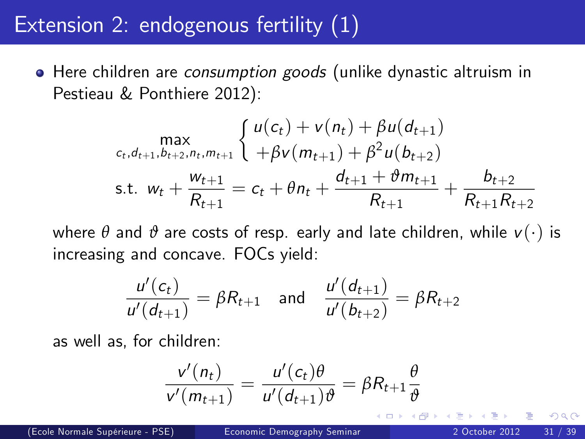### Extension 2: endogenous fertility (1)

• Here children are consumption goods (unlike dynastic altruism in Pestieau & Ponthiere 2012):

$$
\max_{c_t, d_{t+1}, b_{t+2}, n_t, m_{t+1}} \left\{ \begin{array}{l} u(c_t) + v(n_t) + \beta u(d_{t+1}) \\ + \beta v(m_{t+1}) + \beta^2 u(b_{t+2}) \end{array} \right.
$$
  
s.t.  $w_t + \frac{w_{t+1}}{R_{t+1}} = c_t + \theta n_t + \frac{d_{t+1} + \vartheta m_{t+1}}{R_{t+1}} + \frac{b_{t+2}}{R_{t+1}R_{t+2}}$ 

where  $\theta$  and  $\vartheta$  are costs of resp. early and late children, while  $v(\cdot)$  is increasing and concave. FOCs yield:

$$
\frac{u'(c_t)}{u'(d_{t+1})} = \beta R_{t+1} \quad \text{and} \quad \frac{u'(d_{t+1})}{u'(b_{t+2})} = \beta R_{t+2}
$$

as well as, for children:

$$
\frac{v'(n_t)}{v'(m_{t+1})} = \frac{u'(c_t)\theta}{u'(d_{t+1})\theta} = \beta R_{t+1}\frac{\theta}{\theta}
$$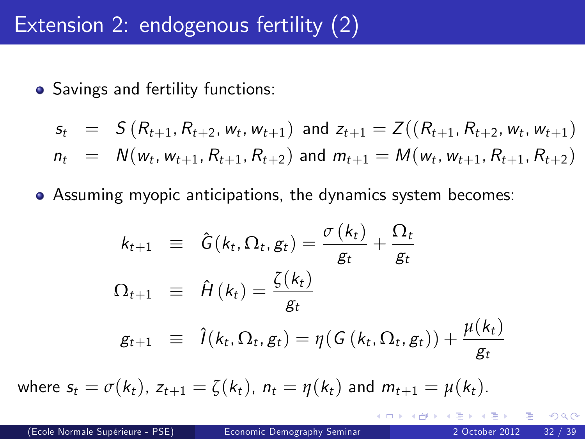### Extension 2: endogenous fertility (2)

• Savings and fertility functions:

$$
s_t = S(R_{t+1}, R_{t+2}, w_t, w_{t+1}) \text{ and } z_{t+1} = Z((R_{t+1}, R_{t+2}, w_t, w_{t+1})
$$
  

$$
n_t = N(w_t, w_{t+1}, R_{t+1}, R_{t+2}) \text{ and } m_{t+1} = M(w_t, w_{t+1}, R_{t+1}, R_{t+2})
$$

Assuming myopic anticipations, the dynamics system becomes:

$$
k_{t+1} \equiv \hat{G}(k_t, \Omega_t, g_t) = \frac{\sigma(k_t)}{g_t} + \frac{\Omega_t}{g_t}
$$
  

$$
\Omega_{t+1} \equiv \hat{H}(k_t) = \frac{\zeta(k_t)}{g_t}
$$
  

$$
g_{t+1} \equiv \hat{I}(k_t, \Omega_t, g_t) = \eta(G(k_t, \Omega_t, g_t)) + \frac{\mu(k_t)}{g_t}
$$

where  $s_t = \sigma(k_t)$ ,  $z_{t+1} = \zeta(k_t)$ ,  $n_t = \eta(k_t)$  and  $m_{t+1} = \mu(k_t)$ .

4 D F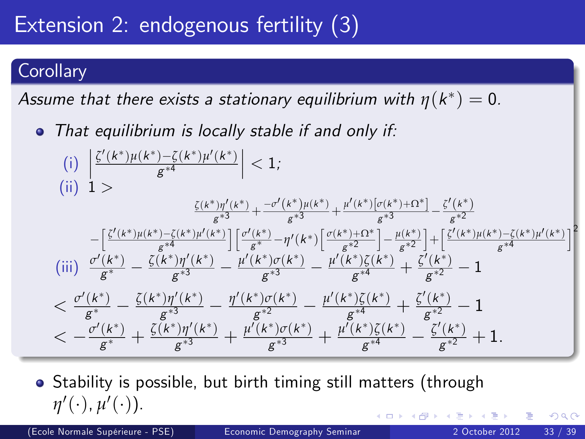## Extension 2: endogenous fertility (3)

#### **Corollary**

Assume that there exists a stationary equilibrium with  $\eta$ (k\*)  $=$  0.

• That equilibrium is locally stable if and only if:

(i) 
$$
\left| \frac{\zeta'(k^*)\mu(k^*) - \zeta(k^*)\mu'(k^*)}{g^{*4}} \right|
$$
 < 1;  
\n(ii)  $1$  > 
$$
\frac{\zeta(k^*)\eta'(k^*)}{g^{*3}} + \frac{-\sigma'(k^*)\mu(k^*)}{g^{*3}} + \frac{\mu'(k^*)[\sigma(k^*) + \Omega^*] - \zeta'(k^*)}{g^{*3}} - \frac{\zeta'(k^*)}{g^{*2}} - \frac{\zeta'(k^*)\mu(k^*) - \zeta(k^*)\mu'(k^*)}{g^{*4}} \right] \left[ \frac{\sigma'(k^*)}{g^{*2}} - \eta'(k^*) \left[ \frac{\sigma(k^*) + \Omega^*}{g^{*2}} \right] - \frac{\mu(k^*)}{g^{*2}} \right] + \left[ \frac{\zeta'(k^*)\mu(k^*) - \zeta(k^*)\mu'(k^*)}{g^{*4}} \right]
$$
\n(iii)  $\frac{\sigma'(k^*)}{g^{*}} - \frac{\zeta(k^*)\eta'(k^*)}{g^{*3}} - \frac{\mu'(k^*)\sigma(k^*)}{g^{*3}} - \frac{\mu'(k^*)\zeta(k^*)}{g^{*4}} + \frac{\zeta'(k^*)}{g^{*2}} - 1$   
\n $< \frac{\sigma'(k^*)}{g^{*}} - \frac{\zeta(k^*)\eta'(k^*)}{g^{*3}} - \frac{\eta'(k^*)\sigma(k^*)}{g^{*2}} - \frac{\mu'(k^*)\zeta(k^*)}{g^{*4}} + \frac{\zeta'(k^*)}{g^{*2}} - 1$   
\n $< -\frac{\sigma'(k^*)}{g^{*}} + \frac{\zeta(k^*)\eta'(k^*)}{g^{*3}} + \frac{\mu'(k^*)\sigma(k^*)}{g^{*3}} + \frac{\mu'(k^*)\zeta(k^*)}{g^{*4}} - \frac{\zeta'(k^*)}{g^{*2}} + 1.$ 

<span id="page-32-0"></span>• Stability is possible, but birth timing still matters (through  $η'(\cdot), μ'(\cdot)).$ 

(Ecole Normale SupÈrieure - PSE) [Economic Demography Seminar](#page-0-0) 2 October 2012 33 / 39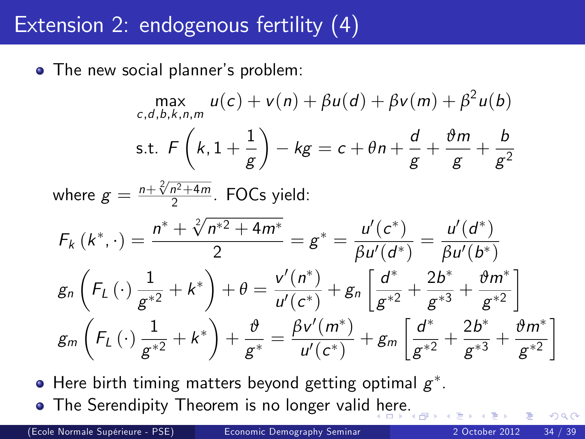### Extension 2: endogenous fertility (4)

• The new social planner's problem:

$$
\max_{c,d,b,k,n,m} u(c) + v(n) + \beta u(d) + \beta v(m) + \beta^2 u(b)
$$
  
s.t.  $F\left(k, 1 + \frac{1}{g}\right) - kg = c + \theta n + \frac{d}{g} + \frac{\theta m}{g} + \frac{b}{g^2}$   
where  $g = \frac{n + \sqrt[2]{n^2 + 4m}}{2}$ . FOCs yield:  
 $F_k(k^*, \cdot) = \frac{n^* + \sqrt[2]{n^*^2 + 4m^*}}{2} = g^* = \frac{u'(c^*)}{\beta u'(d^*)} = \frac{u'(d^*)}{\beta u'(b^*)}$   
 $g_n\left(F_L(\cdot)\frac{1}{g^{*2}} + k^*\right) + \theta = \frac{v'(n^*)}{u'(c^*)} + g_n\left[\frac{d^*}{g^{*2}} + \frac{2b^*}{g^{*3}} + \frac{\theta m^*}{g^{*2}}\right]$   
 $g_m\left(F_L(\cdot)\frac{1}{g^{*2}} + k^*\right) + \frac{\theta}{g^*} = \frac{\beta v'(m^*)}{u'(c^*)} + g_m\left[\frac{d^*}{g^{*2}} + \frac{2b^*}{g^{*3}} + \frac{\theta m^*}{g^{*2}}\right]$ 

Here birth timing matters beyond getting optimal  $\boldsymbol{g}^*$ . • The Serendipity Theorem is no longer valid [he](#page-32-0)[re](#page-34-0)[.](#page-32-0)

(Ecole Normale SupÈrieure - PSE) [Economic Demography Seminar](#page-0-0) 2 October 2012 34 / 39

<span id="page-33-0"></span>1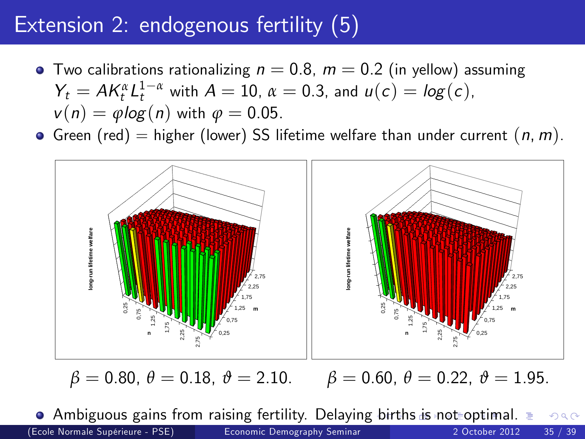## Extension 2: endogenous fertility (5)

- Two calibrations rationalizing  $n = 0.8$ ,  $m = 0.2$  (in yellow) assuming  $Y_t = AK_t^{\alpha}L_t^{1-\alpha}$  with  $A = 10$ ,  $\alpha = 0.3$ , and  $u(c) = log(c)$ ,  $v(n) = \varphi \log(n)$  with  $\varphi = 0.05$ .
- Green (red) = higher (lower) SS lifetime welfare than under current  $(n, m)$ .



<span id="page-34-0"></span>

 $\bullet$  Ambiguous gains from raising fertility. Delaying [b](#page-33-0)i[rth](#page-35-0)[s](#page-33-0) [is](#page-34-0) [n](#page-35-0)[ot](#page-0-0) [op](#page-38-0)[ti](#page-0-0)[ma](#page-38-0)[l.](#page-0-0)  $QQ$ (Ecole Normale SupÈrieure - PSE) [Economic Demography Seminar](#page-0-0) 2 October 2012 35 / 39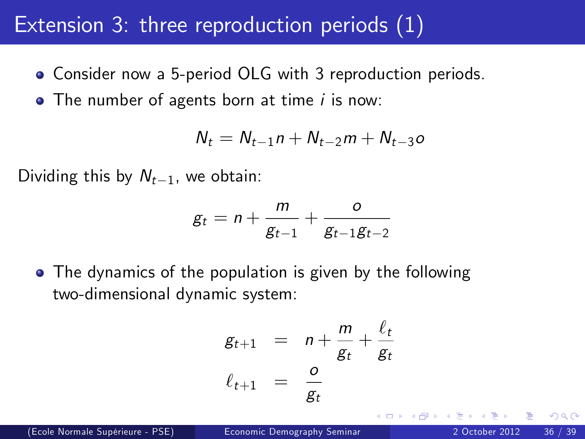### Extension 3: three reproduction periods (1)

- Consider now a 5-period OLG with 3 reproduction periods.
- $\bullet$  The number of agents born at time *i* is now:

$$
N_t = N_{t-1}n + N_{t-2}m + N_{t-3}o
$$

Dividing this by  $N_{t-1}$ , we obtain:

$$
g_t = n + \frac{m}{g_{t-1}} + \frac{o}{g_{t-1}g_{t-2}}
$$

• The dynamics of the population is given by the following two-dimensional dynamic system:

<span id="page-35-0"></span>
$$
g_{t+1} = n + \frac{m}{g_t} + \frac{\ell_t}{g_t}
$$

$$
\ell_{t+1} = \frac{o}{g_t}
$$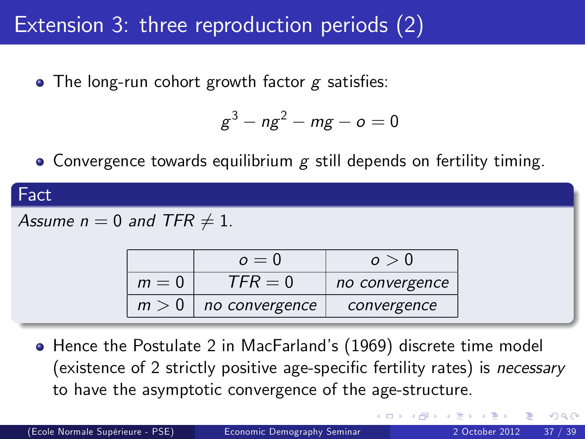## Extension 3: three reproduction periods (2)

• The long-run cohort growth factor  $g$  satisfies:

<span id="page-36-0"></span>
$$
g^3 - ng^2 - mg - o = 0
$$

• Convergence towards equilibrium  $g$  still depends on fertility timing.



**•** Hence the Postulate 2 in MacFarland's (1969) discrete time model (existence of 2 strictly positive age-specific fertility rates) is *necessary* to have the asymptotic convergence of the age-structure.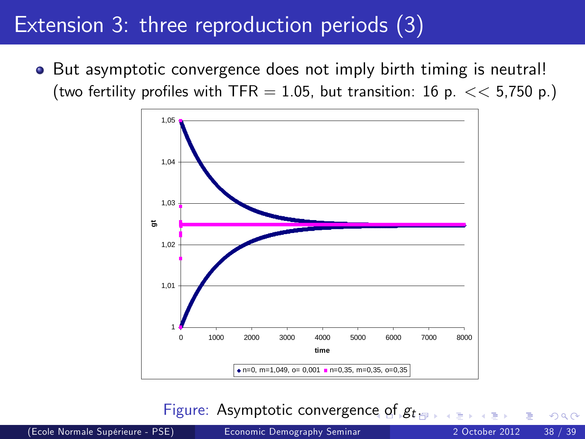### Extension 3: three reproduction periods (3)

• But asymptotic convergence does not imply birth timing is neutral! (two fertility profiles with TFR = 1.05, but transition: 16 p.  $<< 5.750$  p.)



<span id="page-37-0"></span>Figure: Asymptotic convergenc[e o](#page-36-0)f  $g_t$  $g_t$  $g_t$ 

(Ecole Normale SupÈrieure - PSE) [Economic Demography Seminar](#page-0-0) 2 October 2012 38 / 39